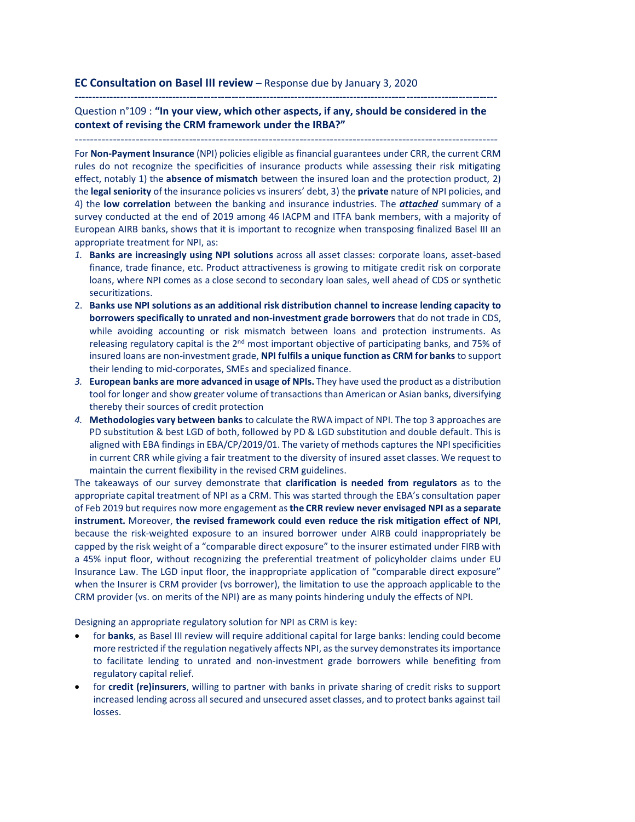## **EC Consultation on Basel III review** – Response due by January 3, 2020

**-------------------------------------------------------------------------------------------------------------------------**

Question n°109 : **"In your view, which other aspects, if any, should be considered in the context of revising the CRM framework under the IRBA?"**

---------------------------------------------------------------------------------------------------------------

For **Non-Payment Insurance** (NPI) policies eligible as financial guarantees under CRR, the current CRM rules do not recognize the specificities of insurance products while assessing their risk mitigating effect, notably 1) the **absence of mismatch** between the insured loan and the protection product, 2) the **legal seniority** of the insurance policies vs insurers' debt, 3) the **private** nature of NPI policies, and 4) the **low correlation** between the banking and insurance industries. The *attached* summary of a survey conducted at the end of 2019 among 46 IACPM and ITFA bank members, with a majority of European AIRB banks, shows that it is important to recognize when transposing finalized Basel III an appropriate treatment for NPI, as:

- *1.* **Banks are increasingly using NPI solutions** across all asset classes: corporate loans, asset-based finance, trade finance, etc. Product attractiveness is growing to mitigate credit risk on corporate loans, where NPI comes as a close second to secondary loan sales, well ahead of CDS or synthetic securitizations.
- 2. **Banks use NPI solutions as an additional risk distribution channel to increase lending capacity to borrowers specifically to unrated and non-investment grade borrowers** that do not trade in CDS, while avoiding accounting or risk mismatch between loans and protection instruments. As releasing regulatory capital is the 2<sup>nd</sup> most important objective of participating banks, and 75% of insured loans are non-investment grade, **NPI fulfils a unique function as CRM for banks** to support their lending to mid-corporates, SMEs and specialized finance.
- *3.* **European banks are more advanced in usage of NPIs.** They have used the product as a distribution tool for longer and show greater volume of transactions than American or Asian banks, diversifying thereby their sources of credit protection
- *4.* **Methodologies vary between banks** to calculate the RWA impact of NPI. The top 3 approaches are PD substitution & best LGD of both, followed by PD & LGD substitution and double default. This is aligned with EBA findings in EBA/CP/2019/01. The variety of methods captures the NPI specificities in current CRR while giving a fair treatment to the diversity of insured asset classes. We request to maintain the current flexibility in the revised CRM guidelines.

The takeaways of our survey demonstrate that **clarification is needed from regulators** as to the appropriate capital treatment of NPI as a CRM. This was started through the EBA's consultation paper of Feb 2019 but requires now more engagement as **the CRR review never envisaged NPI as a separate instrument.** Moreover, **the revised framework could even reduce the risk mitigation effect of NPI**, because the risk-weighted exposure to an insured borrower under AIRB could inappropriately be capped by the risk weight of a "comparable direct exposure" to the insurer estimated under FIRB with a 45% input floor, without recognizing the preferential treatment of policyholder claims under EU Insurance Law. The LGD input floor, the inappropriate application of "comparable direct exposure" when the Insurer is CRM provider (vs borrower), the limitation to use the approach applicable to the CRM provider (vs. on merits of the NPI) are as many points hindering unduly the effects of NPI.

Designing an appropriate regulatory solution for NPI as CRM is key:

- for **banks**, as Basel III review will require additional capital for large banks: lending could become more restricted if the regulation negatively affects NPI, as the survey demonstrates its importance to facilitate lending to unrated and non-investment grade borrowers while benefiting from regulatory capital relief.
- for **credit (re)insurers**, willing to partner with banks in private sharing of credit risks to support increased lending across all secured and unsecured asset classes, and to protect banks against tail losses.